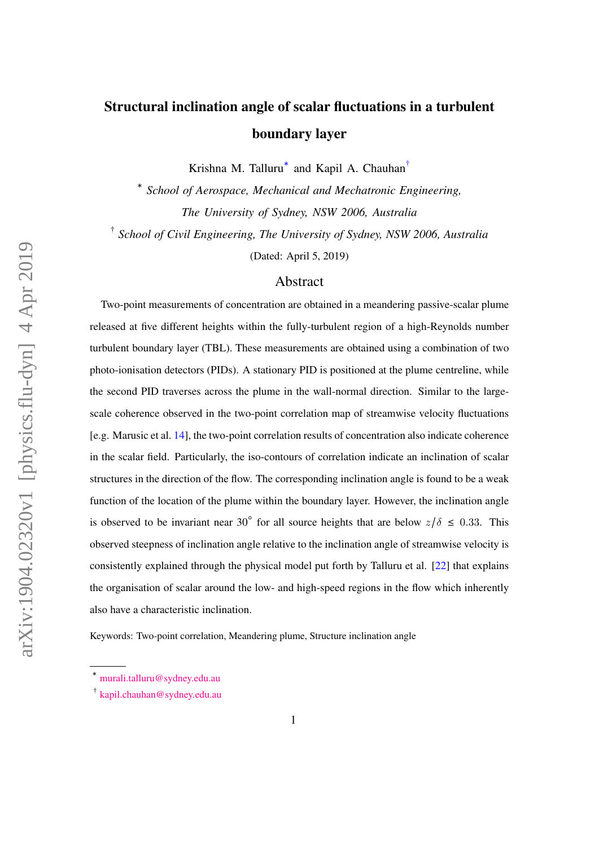# Structural inclination angle of scalar fluctuations in a turbulent boundary layer

Krishna M. Talluru<sup>\*</sup> and Kapil A. Chauhan<sup>[†](#page-0-1)</sup>

∗ *School of Aerospace, Mechanical and Mechatronic Engineering, The University of Sydney, NSW 2006, Australia*

† *School of Civil Engineering, The University of Sydney, NSW 2006, Australia*

(Dated: April 5, 2019)

# Abstract

Two-point measurements of concentration are obtained in a meandering passive-scalar plume released at five different heights within the fully-turbulent region of a high-Reynolds number turbulent boundary layer (TBL). These measurements are obtained using a combination of two photo-ionisation detectors (PIDs). A stationary PID is positioned at the plume centreline, while the second PID traverses across the plume in the wall-normal direction. Similar to the largescale coherence observed in the two-point correlation map of streamwise velocity fluctuations [e.g. Marusic et al. [14\]](#page-16-0), the two-point correlation results of concentration also indicate coherence in the scalar field. Particularly, the iso-contours of correlation indicate an inclination of scalar structures in the direction of the flow. The corresponding inclination angle is found to be a weak function of the location of the plume within the boundary layer. However, the inclination angle is observed to be invariant near 30° for all source heights that are below  $z/\delta \leq 0.33$ . This observed steepness of inclination angle relative to the inclination angle of streamwise velocity is consistently explained through the physical model put forth by Talluru et al. [\[22\]](#page-17-0) that explains the organisation of scalar around the low- and high-speed regions in the flow which inherently also have a characteristic inclination.

Keywords: Two-point correlation, Meandering plume, Structure inclination angle

<span id="page-0-1"></span><span id="page-0-0"></span><sup>∗</sup> [murali.talluru@sydney.edu.au](mailto:murali.talluru@sydney.edu.au)

<sup>†</sup> [kapil.chauhan@sydney.edu.au](mailto:kapil.chauhan@sydney.edu.au)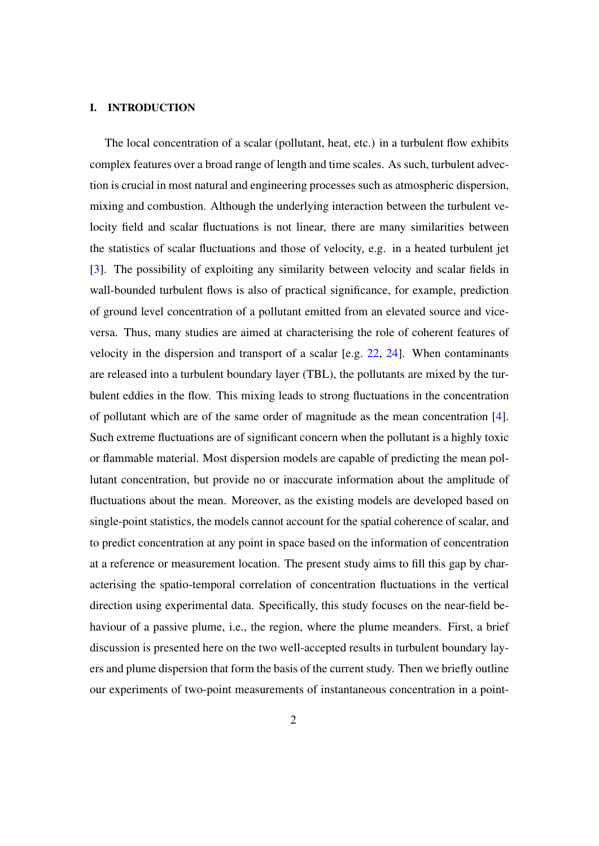### I. INTRODUCTION

The local concentration of a scalar (pollutant, heat, etc.) in a turbulent flow exhibits complex features over a broad range of length and time scales. As such, turbulent advection is crucial in most natural and engineering processes such as atmospheric dispersion, mixing and combustion. Although the underlying interaction between the turbulent velocity field and scalar fluctuations is not linear, there are many similarities between the statistics of scalar fluctuations and those of velocity, e.g. in a heated turbulent jet [\[3\]](#page-15-0). The possibility of exploiting any similarity between velocity and scalar fields in wall-bounded turbulent flows is also of practical significance, for example, prediction of ground level concentration of a pollutant emitted from an elevated source and viceversa. Thus, many studies are aimed at characterising the role of coherent features of velocity in the dispersion and transport of a scalar [e.g. [22,](#page-17-0) [24\]](#page-17-1). When contaminants are released into a turbulent boundary layer (TBL), the pollutants are mixed by the turbulent eddies in the flow. This mixing leads to strong fluctuations in the concentration of pollutant which are of the same order of magnitude as the mean concentration [\[4\]](#page-16-1). Such extreme fluctuations are of significant concern when the pollutant is a highly toxic or flammable material. Most dispersion models are capable of predicting the mean pollutant concentration, but provide no or inaccurate information about the amplitude of fluctuations about the mean. Moreover, as the existing models are developed based on single-point statistics, the models cannot account for the spatial coherence of scalar, and to predict concentration at any point in space based on the information of concentration at a reference or measurement location. The present study aims to fill this gap by characterising the spatio-temporal correlation of concentration fluctuations in the vertical direction using experimental data. Specifically, this study focuses on the near-field behaviour of a passive plume, i.e., the region, where the plume meanders. First, a brief discussion is presented here on the two well-accepted results in turbulent boundary layers and plume dispersion that form the basis of the current study. Then we briefly outline our experiments of two-point measurements of instantaneous concentration in a point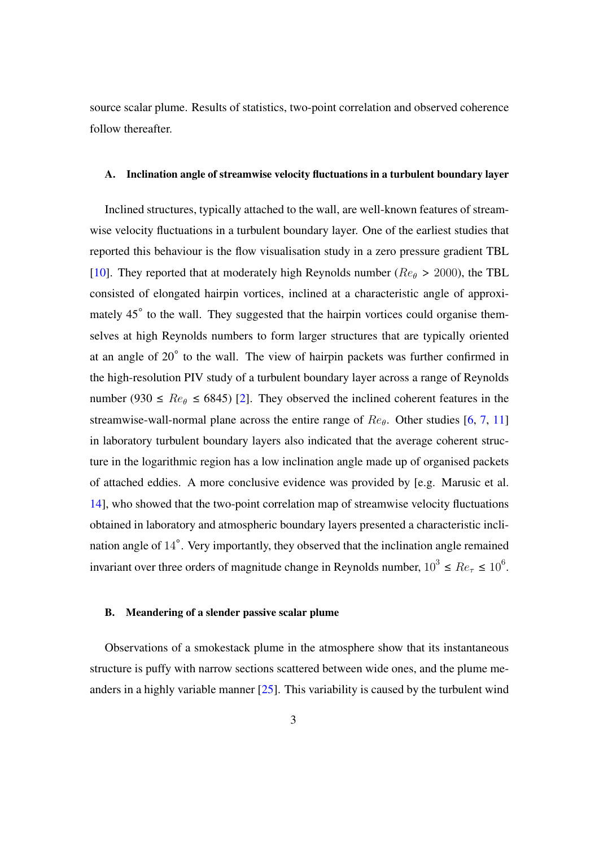source scalar plume. Results of statistics, two-point correlation and observed coherence follow thereafter.

#### A. Inclination angle of streamwise velocity fluctuations in a turbulent boundary layer

Inclined structures, typically attached to the wall, are well-known features of streamwise velocity fluctuations in a turbulent boundary layer. One of the earliest studies that reported this behaviour is the flow visualisation study in a zero pressure gradient TBL [\[10\]](#page-16-2). They reported that at moderately high Reynolds number ( $Re_\theta > 2000$ ), the TBL consisted of elongated hairpin vortices, inclined at a characteristic angle of approximately 45° to the wall. They suggested that the hairpin vortices could organise themselves at high Reynolds numbers to form larger structures that are typically oriented at an angle of 20° to the wall. The view of hairpin packets was further confirmed in the high-resolution PIV study of a turbulent boundary layer across a range of Reynolds number (930  $\leq$  Re<sub> $\theta$ </sub>  $\leq$  6845) [\[2\]](#page-15-1). They observed the inclined coherent features in the streamwise-wall-normal plane across the entire range of  $Re_\theta$ . Other studies [\[6,](#page-16-3) [7,](#page-16-4) [11\]](#page-16-5) in laboratory turbulent boundary layers also indicated that the average coherent structure in the logarithmic region has a low inclination angle made up of organised packets of attached eddies. A more conclusive evidence was provided by [e.g. Marusic et al. [14\]](#page-16-0), who showed that the two-point correlation map of streamwise velocity fluctuations obtained in laboratory and atmospheric boundary layers presented a characteristic inclination angle of 14°. Very importantly, they observed that the inclination angle remained invariant over three orders of magnitude change in Reynolds number,  $10^3 \leq Re_{\tau} \leq 10^6$ .

## B. Meandering of a slender passive scalar plume

Observations of a smokestack plume in the atmosphere show that its instantaneous structure is puffy with narrow sections scattered between wide ones, and the plume meanders in a highly variable manner [\[25\]](#page-17-2). This variability is caused by the turbulent wind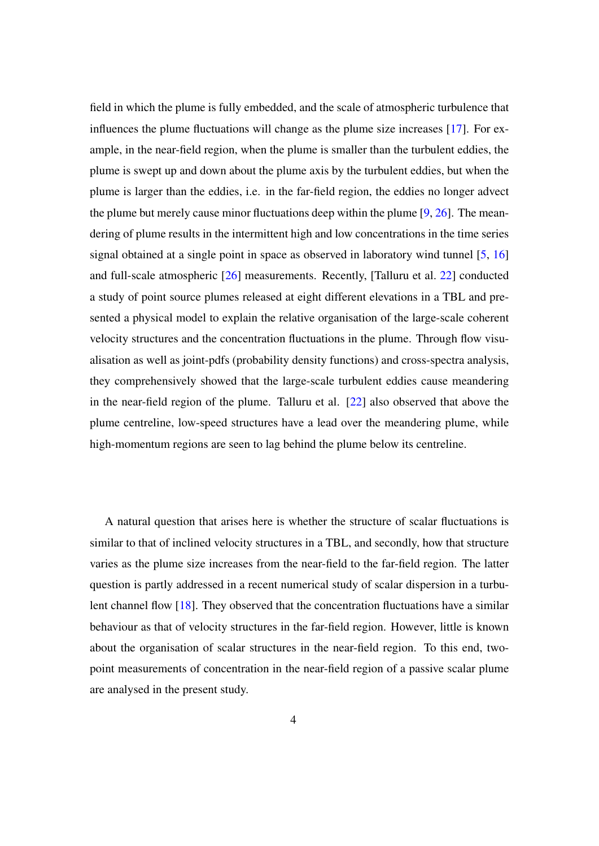field in which the plume is fully embedded, and the scale of atmospheric turbulence that influences the plume fluctuations will change as the plume size increases [\[17\]](#page-17-3). For example, in the near-field region, when the plume is smaller than the turbulent eddies, the plume is swept up and down about the plume axis by the turbulent eddies, but when the plume is larger than the eddies, i.e. in the far-field region, the eddies no longer advect the plume but merely cause minor fluctuations deep within the plume  $[9, 26]$  $[9, 26]$  $[9, 26]$ . The meandering of plume results in the intermittent high and low concentrations in the time series signal obtained at a single point in space as observed in laboratory wind tunnel [\[5,](#page-16-7) [16\]](#page-17-5) and full-scale atmospheric [\[26\]](#page-17-4) measurements. Recently, [Talluru et al. [22\]](#page-17-0) conducted a study of point source plumes released at eight different elevations in a TBL and presented a physical model to explain the relative organisation of the large-scale coherent velocity structures and the concentration fluctuations in the plume. Through flow visualisation as well as joint-pdfs (probability density functions) and cross-spectra analysis, they comprehensively showed that the large-scale turbulent eddies cause meandering in the near-field region of the plume. Talluru et al. [\[22\]](#page-17-0) also observed that above the plume centreline, low-speed structures have a lead over the meandering plume, while high-momentum regions are seen to lag behind the plume below its centreline.

A natural question that arises here is whether the structure of scalar fluctuations is similar to that of inclined velocity structures in a TBL, and secondly, how that structure varies as the plume size increases from the near-field to the far-field region. The latter question is partly addressed in a recent numerical study of scalar dispersion in a turbulent channel flow [\[18\]](#page-17-6). They observed that the concentration fluctuations have a similar behaviour as that of velocity structures in the far-field region. However, little is known about the organisation of scalar structures in the near-field region. To this end, twopoint measurements of concentration in the near-field region of a passive scalar plume are analysed in the present study.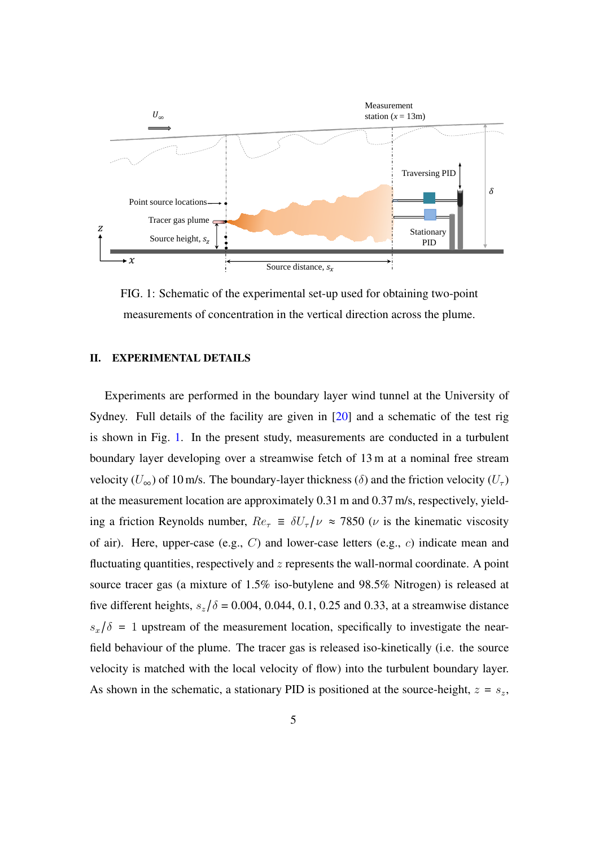<span id="page-4-0"></span>

FIG. 1: Schematic of the experimental set-up used for obtaining two-point measurements of concentration in the vertical direction across the plume.

# II. EXPERIMENTAL DETAILS

Experiments are performed in the boundary layer wind tunnel at the University of Sydney. Full details of the facility are given in [\[20\]](#page-17-7) and a schematic of the test rig is shown in Fig. [1.](#page-4-0) In the present study, measurements are conducted in a turbulent boundary layer developing over a streamwise fetch of 13 m at a nominal free stream velocity ( $U_{\infty}$ ) of 10 m/s. The boundary-layer thickness ( $\delta$ ) and the friction velocity ( $U_{\tau}$ ) at the measurement location are approximately 0.31 m and 0.37 m/s, respectively, yielding a friction Reynolds number,  $Re_\tau \equiv \delta U_\tau/\nu \approx 7850$  ( $\nu$  is the kinematic viscosity of air). Here, upper-case (e.g.,  $C$ ) and lower-case letters (e.g.,  $c$ ) indicate mean and fluctuating quantities, respectively and  $z$  represents the wall-normal coordinate. A point source tracer gas (a mixture of 1.5% iso-butylene and 98.5% Nitrogen) is released at five different heights,  $s_z/\delta = 0.004$ , 0.044, 0.1, 0.25 and 0.33, at a streamwise distance  $s_x/\delta = 1$  upstream of the measurement location, specifically to investigate the nearfield behaviour of the plume. The tracer gas is released iso-kinetically (i.e. the source velocity is matched with the local velocity of flow) into the turbulent boundary layer. As shown in the schematic, a stationary PID is positioned at the source-height,  $z = s_z$ ,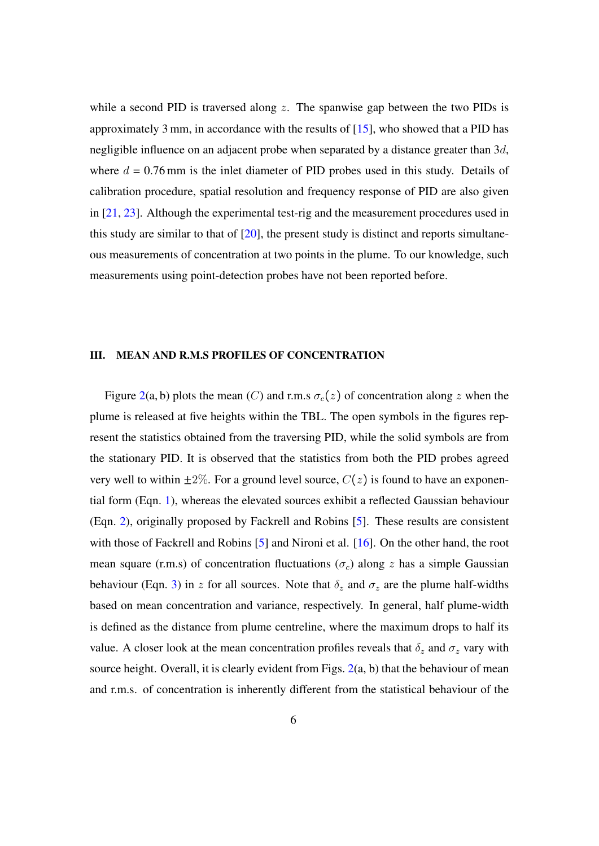while a second PID is traversed along  $z$ . The spanwise gap between the two PIDs is approximately 3 mm, in accordance with the results of  $[15]$ , who showed that a PID has negligible influence on an adjacent probe when separated by a distance greater than  $3d$ , where  $d = 0.76$  mm is the inlet diameter of PID probes used in this study. Details of calibration procedure, spatial resolution and frequency response of PID are also given in [\[21,](#page-17-8) [23\]](#page-17-9). Although the experimental test-rig and the measurement procedures used in this study are similar to that of  $[20]$ , the present study is distinct and reports simultaneous measurements of concentration at two points in the plume. To our knowledge, such measurements using point-detection probes have not been reported before.

### III. MEAN AND R.M.S PROFILES OF CONCENTRATION

Figure [2\(](#page-6-0)a, b) plots the mean (C) and r.m.s  $\sigma_c(z)$  of concentration along z when the plume is released at five heights within the TBL. The open symbols in the figures represent the statistics obtained from the traversing PID, while the solid symbols are from the stationary PID. It is observed that the statistics from both the PID probes agreed very well to within  $\pm 2\%$ . For a ground level source,  $C(z)$  is found to have an exponential form (Eqn. [1\)](#page-6-1), whereas the elevated sources exhibit a reflected Gaussian behaviour (Eqn. [2\)](#page-6-2), originally proposed by Fackrell and Robins [\[5\]](#page-16-7). These results are consistent with those of Fackrell and Robins [\[5\]](#page-16-7) and Nironi et al. [\[16\]](#page-17-5). On the other hand, the root mean square (r.m.s) of concentration fluctuations ( $\sigma_c$ ) along z has a simple Gaussian behaviour (Eqn. [3\)](#page-6-3) in z for all sources. Note that  $\delta_z$  and  $\sigma_z$  are the plume half-widths based on mean concentration and variance, respectively. In general, half plume-width is defined as the distance from plume centreline, where the maximum drops to half its value. A closer look at the mean concentration profiles reveals that  $\delta_z$  and  $\sigma_z$  vary with source height. Overall, it is clearly evident from Figs. [2\(](#page-6-0)a, b) that the behaviour of mean and r.m.s. of concentration is inherently different from the statistical behaviour of the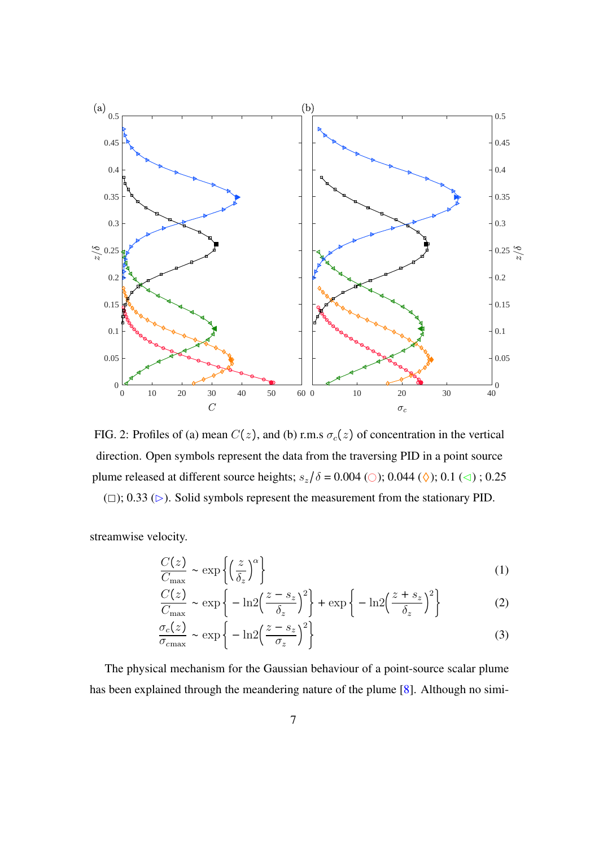<span id="page-6-0"></span>

FIG. 2: Profiles of (a) mean  $C(z)$ , and (b) r.m.s  $\sigma_c(z)$  of concentration in the vertical direction. Open symbols represent the data from the traversing PID in a point source plume released at different source heights;  $s_z/\delta = 0.004$  ( $\circ$ ); 0.044 ( $\diamond$ ); 0.1 ( $\triangleleft$ ); 0.25

 $(2)$ ; 0.33 ( $\triangleright$ ). Solid symbols represent the measurement from the stationary PID.

streamwise velocity.

<span id="page-6-1"></span>
$$
\frac{C(z)}{C_{\text{max}}} \sim \exp\left\{ \left(\frac{z}{\delta_z}\right)^{\alpha} \right\} \tag{1}
$$

<span id="page-6-2"></span>
$$
\frac{C(z)}{C_{\text{max}}} \sim \exp\left\{-\ln 2\left(\frac{z-s_z}{\delta_z}\right)^2\right\} + \exp\left\{-\ln 2\left(\frac{z+s_z}{\delta_z}\right)^2\right\} \tag{2}
$$

<span id="page-6-3"></span>
$$
\frac{\sigma_c(z)}{\sigma_{c\text{max}}} \sim \exp\left\{-\ln 2\left(\frac{z-s_z}{\sigma_z}\right)^2\right\} \tag{3}
$$

The physical mechanism for the Gaussian behaviour of a point-source scalar plume has been explained through the meandering nature of the plume [\[8\]](#page-16-9). Although no simi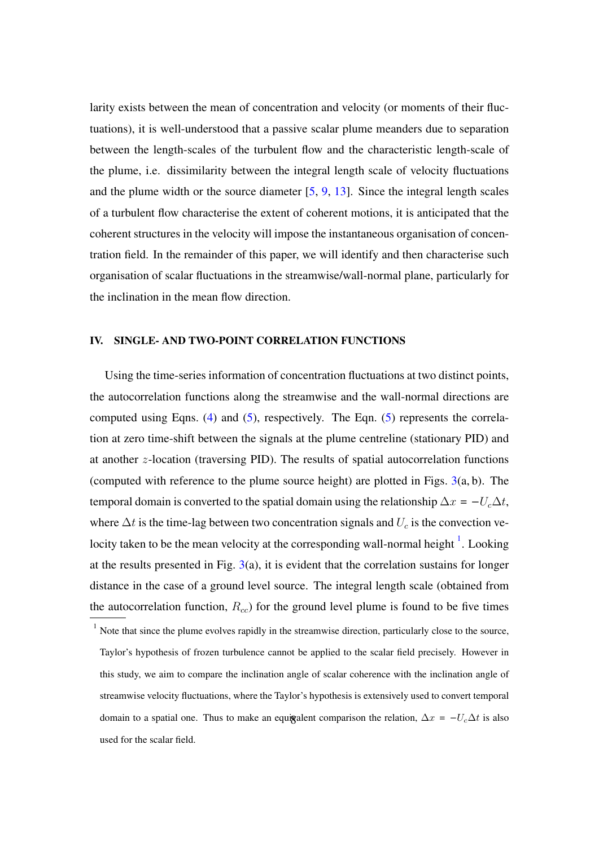larity exists between the mean of concentration and velocity (or moments of their fluctuations), it is well-understood that a passive scalar plume meanders due to separation between the length-scales of the turbulent flow and the characteristic length-scale of the plume, i.e. dissimilarity between the integral length scale of velocity fluctuations and the plume width or the source diameter [\[5,](#page-16-7) [9,](#page-16-6) [13\]](#page-16-10). Since the integral length scales of a turbulent flow characterise the extent of coherent motions, it is anticipated that the coherent structures in the velocity will impose the instantaneous organisation of concentration field. In the remainder of this paper, we will identify and then characterise such organisation of scalar fluctuations in the streamwise/wall-normal plane, particularly for the inclination in the mean flow direction.

### IV. SINGLE- AND TWO-POINT CORRELATION FUNCTIONS

Using the time-series information of concentration fluctuations at two distinct points, the autocorrelation functions along the streamwise and the wall-normal directions are computed using Eqns. [\(4\)](#page-8-0) and [\(5\)](#page-8-1), respectively. The Eqn. [\(5\)](#page-8-1) represents the correlation at zero time-shift between the signals at the plume centreline (stationary PID) and at another z-location (traversing PID). The results of spatial autocorrelation functions (computed with reference to the plume source height) are plotted in Figs.  $3(a, b)$  $3(a, b)$ . The temporal domain is converted to the spatial domain using the relationship  $\Delta x = -U_c \Delta t$ , where  $\Delta t$  is the time-lag between two concentration signals and  $U_c$  is the convection velocity taken to be the mean velocity at the corresponding wall-normal height  $<sup>1</sup>$  $<sup>1</sup>$  $<sup>1</sup>$ . Looking</sup> at the results presented in Fig.  $3(a)$  $3(a)$ , it is evident that the correlation sustains for longer distance in the case of a ground level source. The integral length scale (obtained from the autocorrelation function,  $R_{cc}$ ) for the ground level plume is found to be five times

<span id="page-7-0"></span> $1$  Note that since the plume evolves rapidly in the streamwise direction, particularly close to the source, Taylor's hypothesis of frozen turbulence cannot be applied to the scalar field precisely. However in this study, we aim to compare the inclination angle of scalar coherence with the inclination angle of streamwise velocity fluctuations, where the Taylor's hypothesis is extensively used to convert temporal domain to a spatial one. Thus to make an equigalent comparison the relation,  $\Delta x = -U_c \Delta t$  is also used for the scalar field.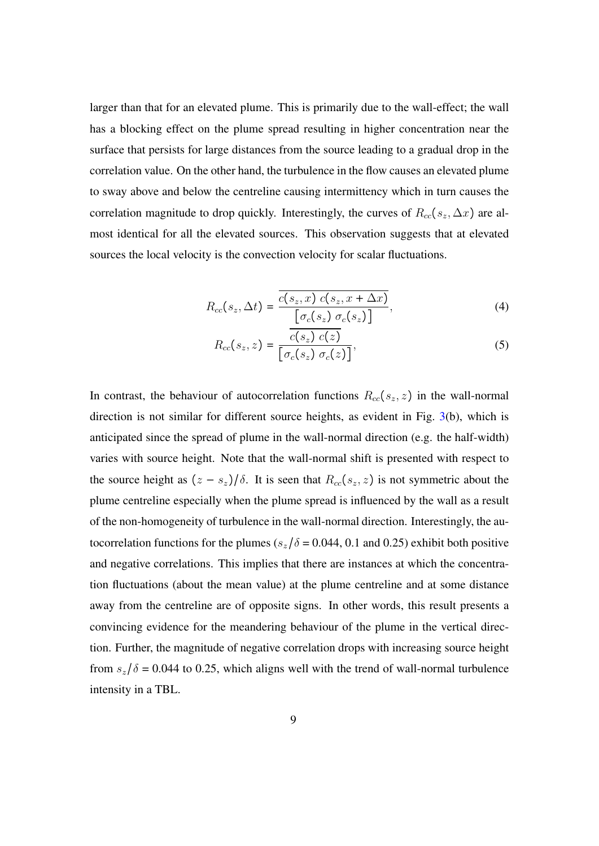larger than that for an elevated plume. This is primarily due to the wall-effect; the wall has a blocking effect on the plume spread resulting in higher concentration near the surface that persists for large distances from the source leading to a gradual drop in the correlation value. On the other hand, the turbulence in the flow causes an elevated plume to sway above and below the centreline causing intermittency which in turn causes the correlation magnitude to drop quickly. Interestingly, the curves of  $R_{cc}(s_z, \Delta x)$  are almost identical for all the elevated sources. This observation suggests that at elevated sources the local velocity is the convection velocity for scalar fluctuations.

$$
R_{cc}(s_z, \Delta t) = \frac{\overline{c(s_z, x) c(s_z, x + \Delta x)}}{\left[\sigma_c(s_z) \sigma_c(s_z)\right]},
$$
\n(4)

<span id="page-8-1"></span><span id="page-8-0"></span>
$$
R_{cc}(s_z, z) = \frac{c(s_z) c(z)}{\left[\sigma_c(s_z) \sigma_c(z)\right]},
$$
\n(5)

In contrast, the behaviour of autocorrelation functions  $R_{cc}(s_z, z)$  in the wall-normal direction is not similar for different source heights, as evident in Fig. [3\(](#page-9-0)b), which is anticipated since the spread of plume in the wall-normal direction (e.g. the half-width) varies with source height. Note that the wall-normal shift is presented with respect to the source height as  $(z - s_z)/\delta$ . It is seen that  $R_{cc}(s_z, z)$  is not symmetric about the plume centreline especially when the plume spread is influenced by the wall as a result of the non-homogeneity of turbulence in the wall-normal direction. Interestingly, the autocorrelation functions for the plumes ( $s_z/\delta$  = 0.044, 0.1 and 0.25) exhibit both positive and negative correlations. This implies that there are instances at which the concentration fluctuations (about the mean value) at the plume centreline and at some distance away from the centreline are of opposite signs. In other words, this result presents a convincing evidence for the meandering behaviour of the plume in the vertical direction. Further, the magnitude of negative correlation drops with increasing source height from  $s_z/\delta = 0.044$  to 0.25, which aligns well with the trend of wall-normal turbulence intensity in a TBL.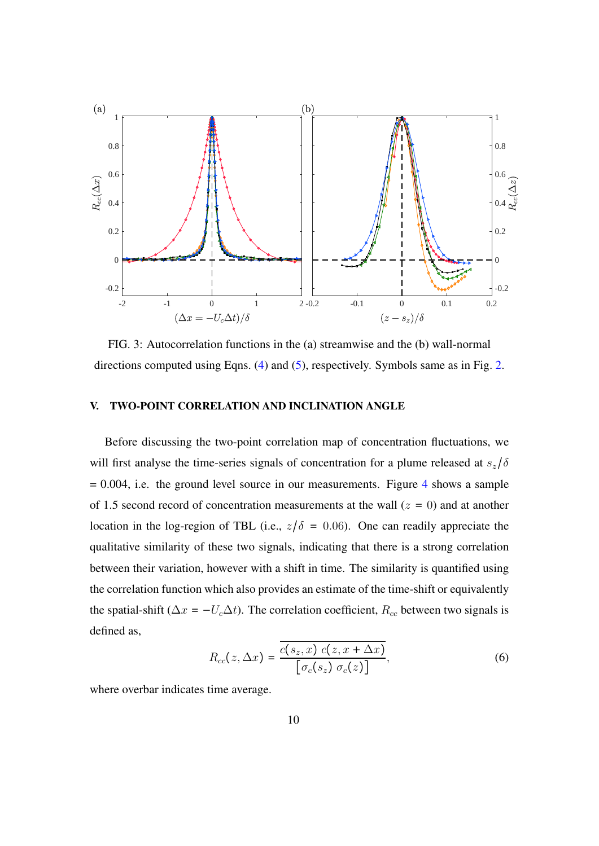<span id="page-9-0"></span>

FIG. 3: Autocorrelation functions in the (a) streamwise and the (b) wall-normal directions computed using Eqns. [\(4\)](#page-8-0) and [\(5\)](#page-8-1), respectively. Symbols same as in Fig. [2.](#page-6-0)

### V. TWO-POINT CORRELATION AND INCLINATION ANGLE

Before discussing the two-point correlation map of concentration fluctuations, we will first analyse the time-series signals of concentration for a plume released at  $s_z/\delta$  $= 0.004$  $= 0.004$ , i.e. the ground level source in our measurements. Figure 4 shows a sample of 1.5 second record of concentration measurements at the wall  $(z = 0)$  and at another location in the log-region of TBL (i.e.,  $z/\delta = 0.06$ ). One can readily appreciate the qualitative similarity of these two signals, indicating that there is a strong correlation between their variation, however with a shift in time. The similarity is quantified using the correlation function which also provides an estimate of the time-shift or equivalently the spatial-shift ( $\Delta x = -U_c \Delta t$ ). The correlation coefficient,  $R_{cc}$  between two signals is defined as,

$$
R_{cc}(z, \Delta x) = \frac{\overline{c(s_z, x) c(z, x + \Delta x)}}{\left[\sigma_c(s_z) \sigma_c(z)\right]},
$$
\n(6)

where overbar indicates time average.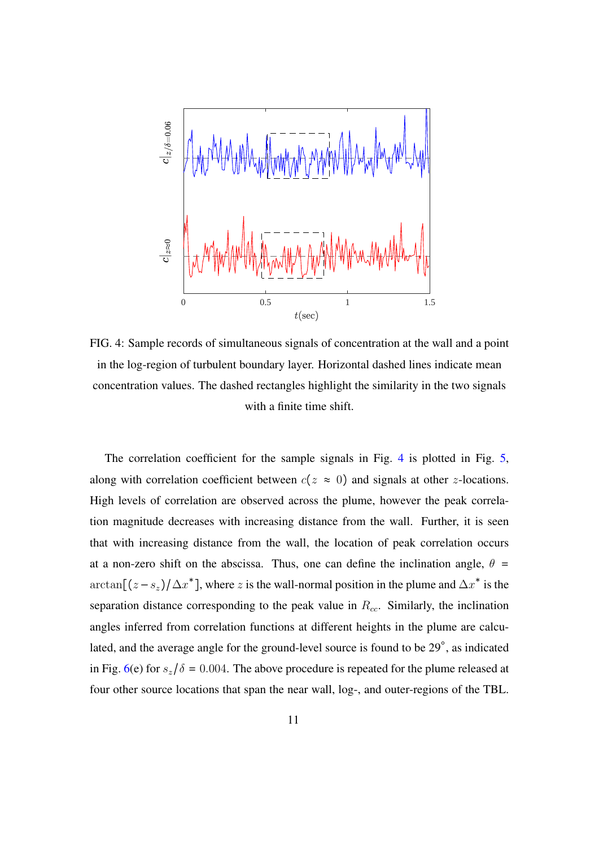<span id="page-10-0"></span>

FIG. 4: Sample records of simultaneous signals of concentration at the wall and a point in the log-region of turbulent boundary layer. Horizontal dashed lines indicate mean concentration values. The dashed rectangles highlight the similarity in the two signals with a finite time shift.

The correlation coefficient for the sample signals in Fig. [4](#page-10-0) is plotted in Fig. [5,](#page-11-0) along with correlation coefficient between  $c(z \approx 0)$  and signals at other z-locations. High levels of correlation are observed across the plume, however the peak correlation magnitude decreases with increasing distance from the wall. Further, it is seen that with increasing distance from the wall, the location of peak correlation occurs at a non-zero shift on the abscissa. Thus, one can define the inclination angle,  $\theta =$ arctan[ $(z - s_z)/\Delta x^*$ ], where z is the wall-normal position in the plume and  $\Delta x^*$  is the separation distance corresponding to the peak value in  $R_{cc}$ . Similarly, the inclination angles inferred from correlation functions at different heights in the plume are calculated, and the average angle for the ground-level source is found to be 29°, as indicated in Fig. [6\(](#page-12-0)e) for  $s_z/\delta = 0.004$ . The above procedure is repeated for the plume released at four other source locations that span the near wall, log-, and outer-regions of the TBL.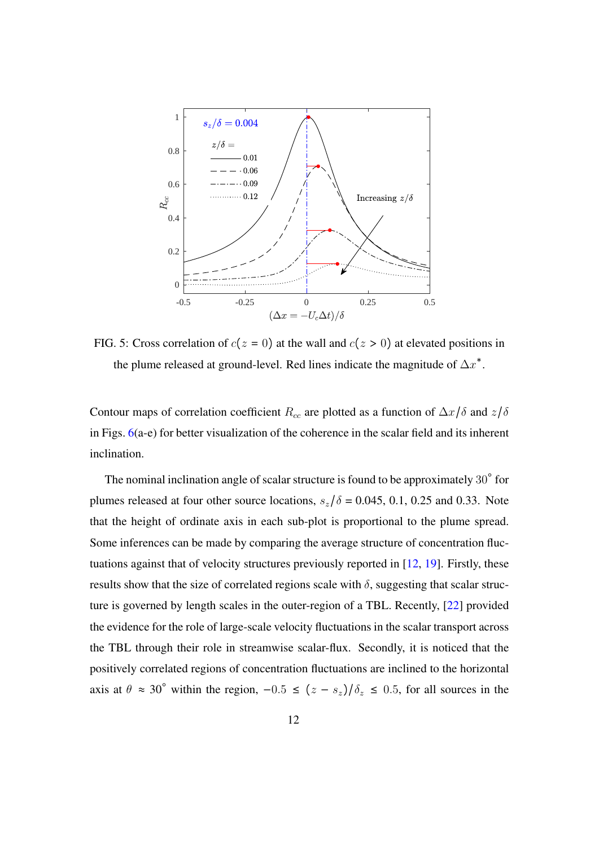<span id="page-11-0"></span>

FIG. 5: Cross correlation of  $c(z = 0)$  at the wall and  $c(z > 0)$  at elevated positions in the plume released at ground-level. Red lines indicate the magnitude of  $\Delta x^*$ .

Contour maps of correlation coefficient  $R_{cc}$  are plotted as a function of  $\Delta x/\delta$  and  $z/\delta$ in Figs. [6\(](#page-12-0)a-e) for better visualization of the coherence in the scalar field and its inherent inclination.

The nominal inclination angle of scalar structure is found to be approximately  $30^{\circ}$  for plumes released at four other source locations,  $s_z/\delta = 0.045, 0.1, 0.25$  and 0.33. Note that the height of ordinate axis in each sub-plot is proportional to the plume spread. Some inferences can be made by comparing the average structure of concentration fluctuations against that of velocity structures previously reported in [\[12,](#page-16-11) [19\]](#page-17-10). Firstly, these results show that the size of correlated regions scale with  $\delta$ , suggesting that scalar structure is governed by length scales in the outer-region of a TBL. Recently, [\[22\]](#page-17-0) provided the evidence for the role of large-scale velocity fluctuations in the scalar transport across the TBL through their role in streamwise scalar-flux. Secondly, it is noticed that the positively correlated regions of concentration fluctuations are inclined to the horizontal axis at  $\theta \approx 30^{\circ}$  within the region,  $-0.5 \le (z - s_z)/\delta_z \le 0.5$ , for all sources in the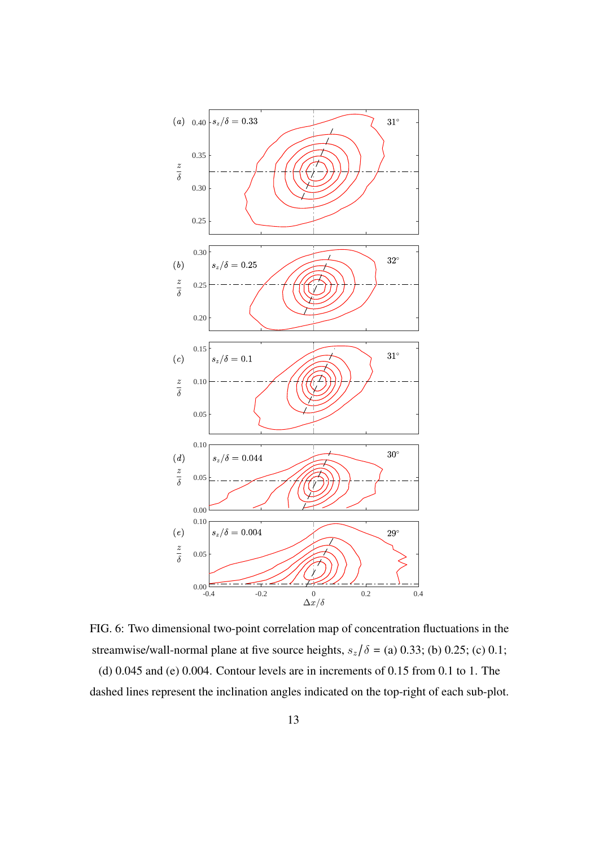<span id="page-12-0"></span>

FIG. 6: Two dimensional two-point correlation map of concentration fluctuations in the streamwise/wall-normal plane at five source heights,  $s_z/\delta =$  (a) 0.33; (b) 0.25; (c) 0.1;

(d) 0.045 and (e) 0.004. Contour levels are in increments of 0.15 from 0.1 to 1. The dashed lines represent the inclination angles indicated on the top-right of each sub-plot.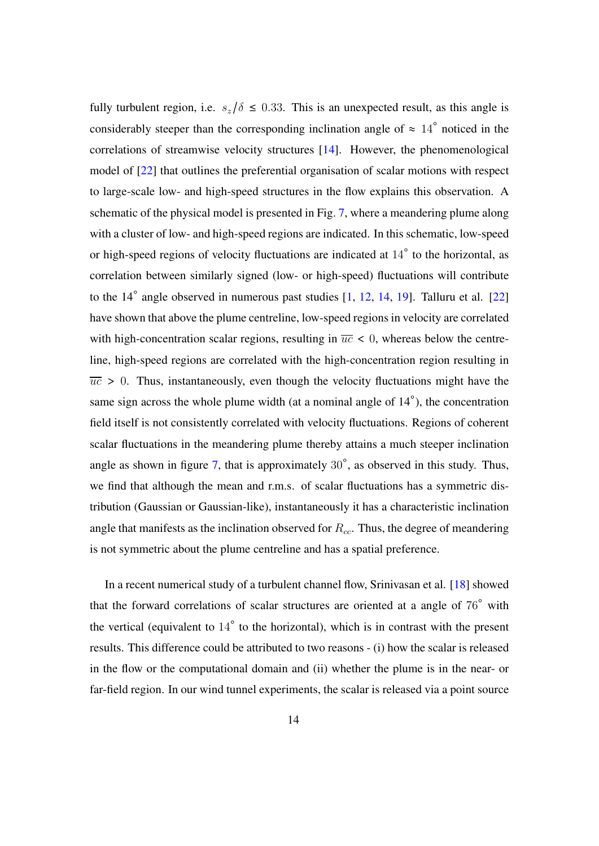fully turbulent region, i.e.  $s_z/\delta \leq 0.33$ . This is an unexpected result, as this angle is considerably steeper than the corresponding inclination angle of  $\approx 14^{\circ}$  noticed in the correlations of streamwise velocity structures [\[14\]](#page-16-0). However, the phenomenological model of [\[22\]](#page-17-0) that outlines the preferential organisation of scalar motions with respect to large-scale low- and high-speed structures in the flow explains this observation. A schematic of the physical model is presented in Fig. [7,](#page-14-0) where a meandering plume along with a cluster of low- and high-speed regions are indicated. In this schematic, low-speed or high-speed regions of velocity fluctuations are indicated at  $14^\circ$  to the horizontal, as correlation between similarly signed (low- or high-speed) fluctuations will contribute to the 14° angle observed in numerous past studies [\[1,](#page-15-2) [12,](#page-16-11) [14,](#page-16-0) [19\]](#page-17-10). Talluru et al. [\[22\]](#page-17-0) have shown that above the plume centreline, low-speed regions in velocity are correlated with high-concentration scalar regions, resulting in  $\overline{uc}$  < 0, whereas below the centreline, high-speed regions are correlated with the high-concentration region resulting in  $\overline{uc} > 0$ . Thus, instantaneously, even though the velocity fluctuations might have the same sign across the whole plume width (at a nominal angle of  $14^{\circ}$ ), the concentration field itself is not consistently correlated with velocity fluctuations. Regions of coherent scalar fluctuations in the meandering plume thereby attains a much steeper inclination angle as shown in figure  $7$ , that is approximately  $30^\circ$ , as observed in this study. Thus, we find that although the mean and r.m.s. of scalar fluctuations has a symmetric distribution (Gaussian or Gaussian-like), instantaneously it has a characteristic inclination angle that manifests as the inclination observed for  $R_{cc}$ . Thus, the degree of meandering is not symmetric about the plume centreline and has a spatial preference.

In a recent numerical study of a turbulent channel flow, Srinivasan et al. [\[18\]](#page-17-6) showed that the forward correlations of scalar structures are oriented at a angle of 76◦ with the vertical (equivalent to  $14^\circ$  to the horizontal), which is in contrast with the present results. This difference could be attributed to two reasons - (i) how the scalar is released in the flow or the computational domain and (ii) whether the plume is in the near- or far-field region. In our wind tunnel experiments, the scalar is released via a point source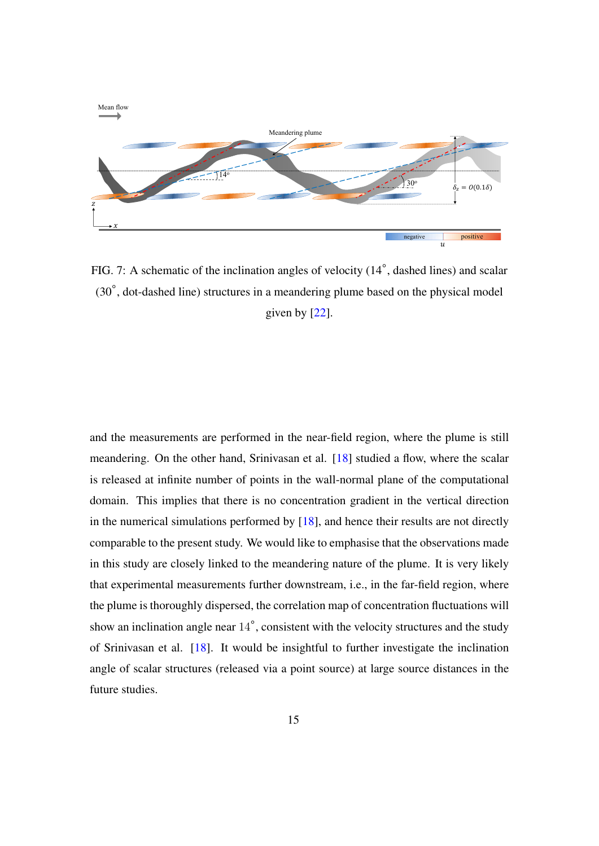<span id="page-14-0"></span>

FIG. 7: A schematic of the inclination angles of velocity (14°, dashed lines) and scalar (30◦ , dot-dashed line) structures in a meandering plume based on the physical model given by [\[22\]](#page-17-0).

and the measurements are performed in the near-field region, where the plume is still meandering. On the other hand, Srinivasan et al. [\[18\]](#page-17-6) studied a flow, where the scalar is released at infinite number of points in the wall-normal plane of the computational domain. This implies that there is no concentration gradient in the vertical direction in the numerical simulations performed by  $[18]$ , and hence their results are not directly comparable to the present study. We would like to emphasise that the observations made in this study are closely linked to the meandering nature of the plume. It is very likely that experimental measurements further downstream, i.e., in the far-field region, where the plume is thoroughly dispersed, the correlation map of concentration fluctuations will show an inclination angle near  $14^\circ$ , consistent with the velocity structures and the study of Srinivasan et al. [\[18\]](#page-17-6). It would be insightful to further investigate the inclination angle of scalar structures (released via a point source) at large source distances in the future studies.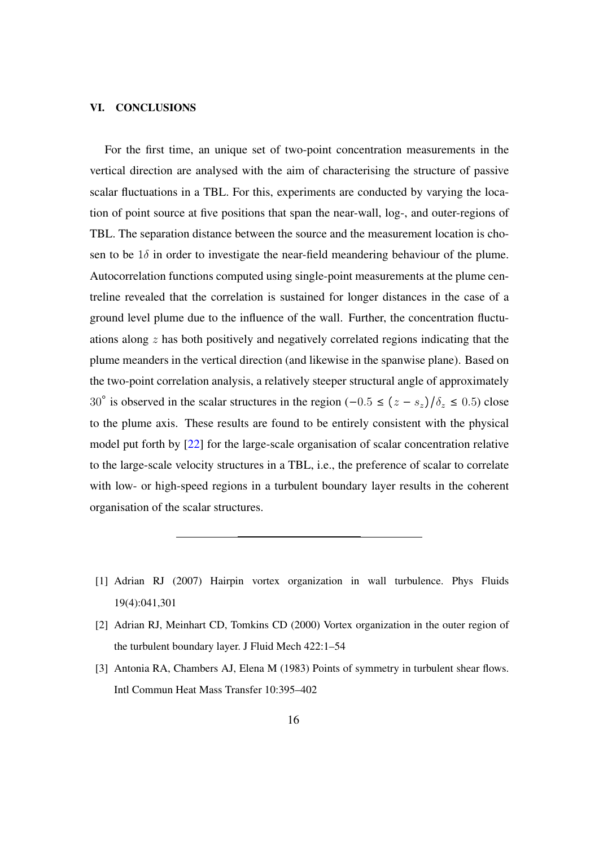### VI. CONCLUSIONS

For the first time, an unique set of two-point concentration measurements in the vertical direction are analysed with the aim of characterising the structure of passive scalar fluctuations in a TBL. For this, experiments are conducted by varying the location of point source at five positions that span the near-wall, log-, and outer-regions of TBL. The separation distance between the source and the measurement location is chosen to be  $1\delta$  in order to investigate the near-field meandering behaviour of the plume. Autocorrelation functions computed using single-point measurements at the plume centreline revealed that the correlation is sustained for longer distances in the case of a ground level plume due to the influence of the wall. Further, the concentration fluctuations along z has both positively and negatively correlated regions indicating that the plume meanders in the vertical direction (and likewise in the spanwise plane). Based on the two-point correlation analysis, a relatively steeper structural angle of approximately 30° is observed in the scalar structures in the region  $(-0.5 \le (z - s_z)/\delta_z \le 0.5)$  close to the plume axis. These results are found to be entirely consistent with the physical model put forth by [\[22\]](#page-17-0) for the large-scale organisation of scalar concentration relative to the large-scale velocity structures in a TBL, i.e., the preference of scalar to correlate with low- or high-speed regions in a turbulent boundary layer results in the coherent organisation of the scalar structures.

- <span id="page-15-2"></span>[1] Adrian RJ (2007) Hairpin vortex organization in wall turbulence. Phys Fluids 19(4):041,301
- <span id="page-15-1"></span>[2] Adrian RJ, Meinhart CD, Tomkins CD (2000) Vortex organization in the outer region of the turbulent boundary layer. J Fluid Mech 422:1–54
- <span id="page-15-0"></span>[3] Antonia RA, Chambers AJ, Elena M (1983) Points of symmetry in turbulent shear flows. Intl Commun Heat Mass Transfer 10:395–402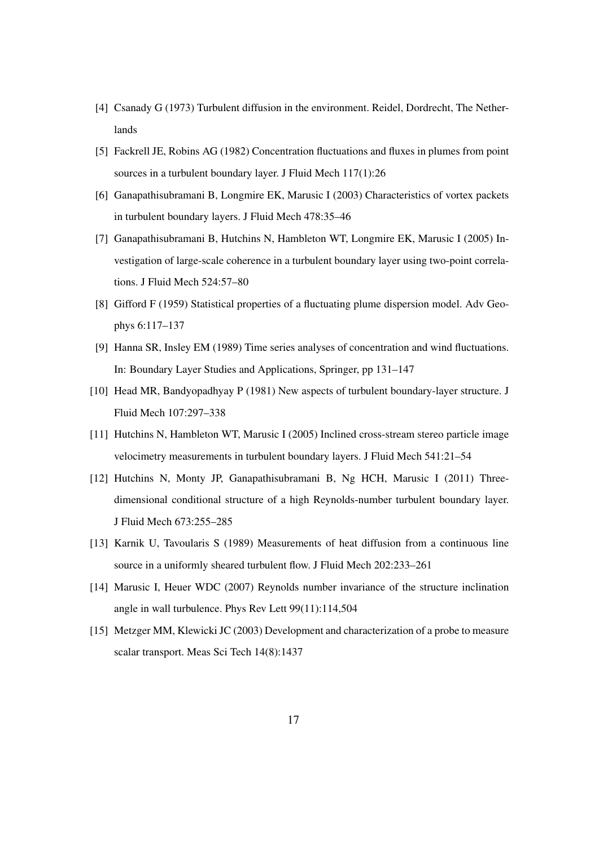- <span id="page-16-1"></span>[4] Csanady G (1973) Turbulent diffusion in the environment. Reidel, Dordrecht, The Netherlands
- <span id="page-16-7"></span>[5] Fackrell JE, Robins AG (1982) Concentration fluctuations and fluxes in plumes from point sources in a turbulent boundary layer. J Fluid Mech 117(1):26
- <span id="page-16-3"></span>[6] Ganapathisubramani B, Longmire EK, Marusic I (2003) Characteristics of vortex packets in turbulent boundary layers. J Fluid Mech 478:35–46
- <span id="page-16-4"></span>[7] Ganapathisubramani B, Hutchins N, Hambleton WT, Longmire EK, Marusic I (2005) Investigation of large-scale coherence in a turbulent boundary layer using two-point correlations. J Fluid Mech 524:57–80
- <span id="page-16-9"></span>[8] Gifford F (1959) Statistical properties of a fluctuating plume dispersion model. Adv Geophys 6:117–137
- <span id="page-16-6"></span>[9] Hanna SR, Insley EM (1989) Time series analyses of concentration and wind fluctuations. In: Boundary Layer Studies and Applications, Springer, pp 131–147
- <span id="page-16-2"></span>[10] Head MR, Bandyopadhyay P (1981) New aspects of turbulent boundary-layer structure. J Fluid Mech 107:297–338
- <span id="page-16-5"></span>[11] Hutchins N, Hambleton WT, Marusic I (2005) Inclined cross-stream stereo particle image velocimetry measurements in turbulent boundary layers. J Fluid Mech 541:21–54
- <span id="page-16-11"></span>[12] Hutchins N, Monty JP, Ganapathisubramani B, Ng HCH, Marusic I (2011) Threedimensional conditional structure of a high Reynolds-number turbulent boundary layer. J Fluid Mech 673:255–285
- <span id="page-16-10"></span>[13] Karnik U, Tavoularis S (1989) Measurements of heat diffusion from a continuous line source in a uniformly sheared turbulent flow. J Fluid Mech 202:233–261
- <span id="page-16-0"></span>[14] Marusic I, Heuer WDC (2007) Reynolds number invariance of the structure inclination angle in wall turbulence. Phys Rev Lett 99(11):114,504
- <span id="page-16-8"></span>[15] Metzger MM, Klewicki JC (2003) Development and characterization of a probe to measure scalar transport. Meas Sci Tech 14(8):1437